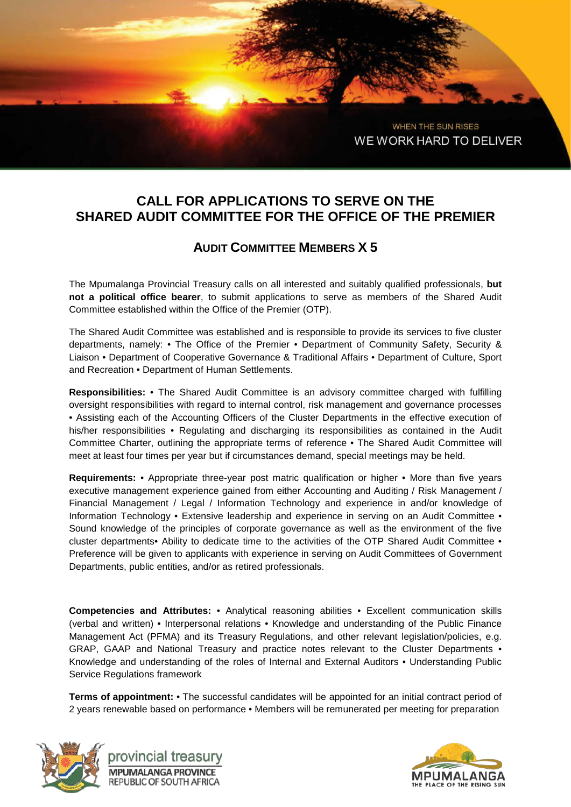WHEN THE SUN RISES WE WORK HARD TO DELIVER

## **CALL FOR APPLICATIONS TO SERVE ON THE SHARED AUDIT COMMITTEE FOR THE OFFICE OF THE PREMIER**

## **AUDIT COMMITTEE MEMBERS X 5**

The Mpumalanga Provincial Treasury calls on all interested and suitably qualified professionals, **but not a political office bearer**, to submit applications to serve as members of the Shared Audit Committee established within the Office of the Premier (OTP).

The Shared Audit Committee was established and is responsible to provide its services to five cluster departments, namely: • The Office of the Premier • Department of Community Safety, Security & Liaison • Department of Cooperative Governance & Traditional Affairs • Department of Culture, Sport and Recreation • Department of Human Settlements.

**Responsibilities:** • The Shared Audit Committee is an advisory committee charged with fulfilling oversight responsibilities with regard to internal control, risk management and governance processes • Assisting each of the Accounting Officers of the Cluster Departments in the effective execution of his/her responsibilities • Regulating and discharging its responsibilities as contained in the Audit Committee Charter, outlining the appropriate terms of reference • The Shared Audit Committee will meet at least four times per year but if circumstances demand, special meetings may be held.

**Requirements:** • Appropriate three-year post matric qualification or higher • More than five years executive management experience gained from either Accounting and Auditing / Risk Management / Financial Management / Legal / Information Technology and experience in and/or knowledge of Information Technology • Extensive leadership and experience in serving on an Audit Committee • Sound knowledge of the principles of corporate governance as well as the environment of the five cluster departments• Ability to dedicate time to the activities of the OTP Shared Audit Committee • Preference will be given to applicants with experience in serving on Audit Committees of Government Departments, public entities, and/or as retired professionals.

**Competencies and Attributes:** • Analytical reasoning abilities • Excellent communication skills (verbal and written) • Interpersonal relations • Knowledge and understanding of the Public Finance Management Act (PFMA) and its Treasury Regulations, and other relevant legislation/policies, e.g. GRAP, GAAP and National Treasury and practice notes relevant to the Cluster Departments • Knowledge and understanding of the roles of Internal and External Auditors • Understanding Public Service Regulations framework

**Terms of appointment:** • The successful candidates will be appointed for an initial contract period of 2 years renewable based on performance • Members will be remunerated per meeting for preparation